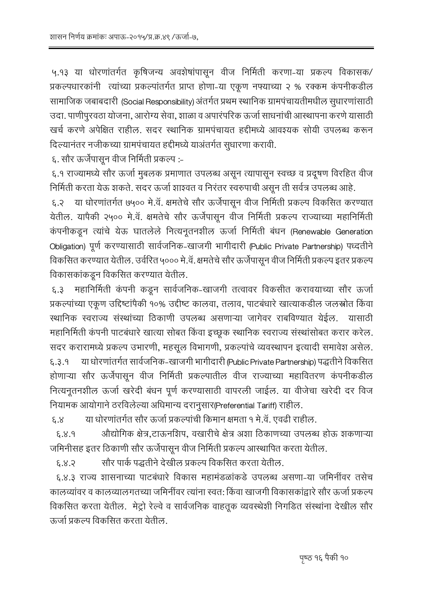५.१३ या धोरणांतर्गत कृषिजन्य अवशेषांपासून वीज निर्मिती करणा-या प्रकल्प विकासक/ प्रकल्पधारकांनी त्यांच्या प्रकल्पांतर्गत प्राप्त होणा-या एकूण नफ्याच्या २ % रक्कम कंपनीकडील सामाजिक जबाबदारी (Social Responsibility) अंतर्गत प्रथम स्थानिक ग्रामपंचायतीमधील सुधारणांसाठी उदा. पाणीपुरवठा योजना, आरोग्य सेवा, शाळा व अपारंपरिक ऊर्जा साधनांची आस्थापना करणे यासाठी खर्च करणे अपेक्षित राहील. सदर स्थानिक ग्रामपंचायत हद्दीमध्ये आवश्यक सोयी उपलब्ध करून दिल्यानंतर नजीकच्या ग्रामपंचायत हद्दीमध्ये याअंतर्गत सुधारणा करावी.

६. सौर ऊर्जेपासून वीज निर्मिती प्रकल्प :-

६.१ राज्यामध्ये सौर ऊर्जा मुबलक प्रमाणात उपलब्ध असून त्यापासून स्वच्छ व प्रदूषण विरहित वीज निर्मिती करता येऊ शकते. सदर ऊर्जा शाश्वत व निरंतर स्वरुपाची असून ती सर्वत्र उपलब्ध आहे.

६.२ या धोरणांतर्गत ७५०० मे.वॅ. क्षमतेचे सौर ऊर्जेपासून वीज निर्मिती प्रकल्प विकसित करण्यात येतील. यापैकी २५०० मे.वॅ. क्षमतेचे सौर ऊर्जेपासून वीज निर्मिती प्रकल्प राज्याच्या महानिर्मिती कंपनीकडून त्यांचे येऊ घातलेले नित्यनूतनशील ऊर्जा निर्मिती बंधन (Renewable Generation Obligation) पूर्ण करण्यासाठी सार्वजनिक-खाजगी भागीदारी (Public Private Partnership) पध्दतीने विकसित करण्यात येतील. उर्वरित ५००० मे.वॅ. क्षमतेचे सौर ऊर्जेपासून वीज निर्मिती प्रकल्प इतर प्रकल्प विकासकांकडून विकसित करण्यात येतील.

महानिर्मिती कंपनी कडून सार्वजनिक-खाजगी तत्वावर विकसीत करावयाच्या सौर ऊर्जा  $\xi.\xi$ प्रकल्पांच्या एकूण उद्दिष्टांपैकी १०% उद्दीष्ट कालवा, तलाव, पाटबंधारे खात्याकडील जलस्रोत किंवा स्थानिक स्वराज्य संस्थांच्या ठिकाणी उपलब्ध असणाऱ्या जागेवर राबविण्यात येईल. यासाठी महानिर्मिती कंपनी पाटबंधारे खात्या सोबत किंवा इच्छूक स्थानिक स्वराज्य संस्थांसोबत करार करेल. सदर करारामध्ये प्रकल्प उभारणी, महसूल विभागणी, प्रकल्पांचे व्यवस्थापन इत्यादी समावेश असेल. या धोरणांतर्गत सार्वजनिक-खाजगी भागीदारी (Public Private Partnership) पद्धतीने विकसित  $8.3.9$ होणाऱ्या सौर ऊर्जेपासून वीज निर्मिती प्रकल्पातील वीज राज्याच्या महावितरण कंपनीकडील नित्यनूतनशील ऊर्जा खरेदी बंधन पूर्ण करण्यासाठी वापरली जाईल. या वीजेचा खरेदी दर विज नियामक आयोगाने ठरविलेल्या अधिमान्य दरानूसार(Preferential Tariff) राहील.

या धोरणांतर्गत सौर ऊर्जा प्रकल्पांची किमान क्षमता १ मे.वॅ. एवढी राहील.  $8.8$ 

औद्योगिक क्षेत्र,टाऊनशिप, वखारीचे क्षेत्र अशा ठिकाणच्या उपलब्ध होऊ शकणाऱ्या  $8.8.9$ जमिनीसह इतर ठिकाणी सौर ऊर्जेपासून वीज निर्मिती प्रकल्प आस्थापित करता येतील.

सौर पार्क पद्धतीने देखील प्रकल्प विकसित करता येतील.  $6.8.3$ 

६.४.३ राज्य शासनाच्या पाटबंधारे विकास महामंडळांकडे उपलब्ध असणा-या जमिनींवर तसेच कालव्यांवर व कालव्यालगतच्या जमिनींवर त्यांना स्वत: किंवा खाजगी विकासकांद्वारे सौर ऊर्जा प्रकल्प विकसित करता येतील. मेट्रो रेल्वे व सार्वजनिक वाहतूक व्यवस्थेशी निगडित संस्थांना देखील सौर ऊर्जा प्रकल्प विकसित करता येतील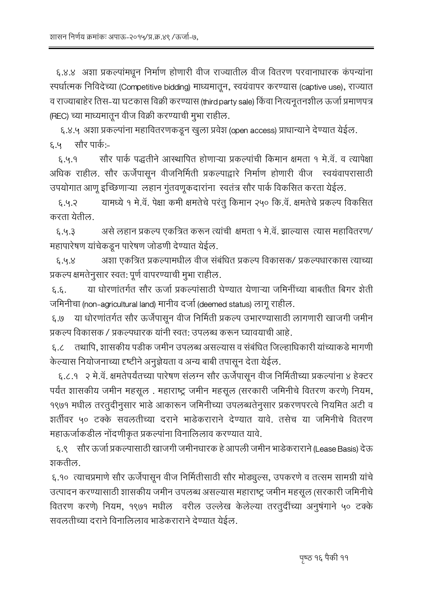६.४.४ अशा प्रकल्पांमधून निर्माण होणारी वीज राज्यातील वीज वितरण परवानाधारक कंपन्यांना स्पर्धात्मक निविदेच्या (Competitive bidding) माध्यमातून, स्वयंवापर करण्यास (captive use), राज्यात व राज्याबाहेर तिस-या घटकास विक्री करण्यास (third party sale) किंवा नित्यनुतनशील ऊर्जा प्रमाणपत्र (REC) च्या माध्यमातून वीज विक्री करण्याची मुभा राहील.

६.४.५ अशा प्रकल्पांना महावितरणकडून खुला प्रवेश (open access) प्राधान्याने देण्यात येईल. ६.५ सौर पार्क:-

सौर पार्क पद्धतीने आस्थापित होणाऱ्या प्रकल्पांची किमान क्षमता १ मे.वॅ. व त्यापेक्षा  $8.4.3$ अधिक राहील. सौर ऊर्जेपासून वीजनिर्मिती प्रकल्पाद्वारे निर्माण होणारी वीज स्वयंवापरासाठी उपयोगात आणू इच्छिणाऱ्या लहान गुंतवणूकदारांना स्वतंत्र सौर पार्क विकसित करता येईल.

यामध्ये १ मे.वॅ. पेक्षा कमी क्षमतेचे परंतु किमान २५० कि.वॅ. क्षमतेचे प्रकल्प विकसित  $6.4.3$ करता येतील.

असे लहान प्रकल्प एकत्रित करून त्यांची क्षमता १ मे.वॅ. झाल्यास त्यास महावितरण/  $8.4.3$ महापारेषण यांचेकडून पारेषण जोडणी देण्यात येईल.

अशा एकत्रित प्रकल्पामधील वीज संबंधित प्रकल्प विकासक/ प्रकल्पधारकास त्याच्या  $8.4.8$ प्रकल्प क्षमतेनुसार स्वत: पूर्ण वापरण्याची मुभा राहील.

या धोरणांतर्गत सौर ऊर्जा प्रकल्पांसाठी घेण्यात येणाऱ्या जमिनींच्या बाबतीत बिगर शेती  $\xi.\xi.$ जमिनीचा (non-agricultural land) मानीव दर्जा (deemed status) लागू राहील.

या धोरणांतर्गत सौर ऊर्जेपासून वीज निर्मिती प्रकल्प उभारण्यासाठी लागणारी खाजगी जमीन  $0.3$ प्रकल्प विकासक / प्रकल्पधारक यांनी स्वत: उपलब्ध करून घ्यावयाची आहे.

६.८ तथापि. शासकीय पड़ीक जमीन उपलब्ध असल्यास व संबंधित जिल्हाधिकारी यांच्याकडे मागणी केल्यास नियोजनाच्या दृष्टीने अनुज्ञेयता व अन्य बाबी तपासून देता येईल.

६.८.१ - २ मे.वॅ. क्षमतेपर्यंतच्या पारेषण संलग्न सौर ऊर्जेपासून वीज निर्मितीच्या प्रकल्पांना ४ हेक्टर पर्यंत शासकीय जमीन महसूल . महाराष्ट्र जमीन महसूल (सरकारी जमिनीचे वितरण करणे) नियम, १९७१ मधील तरतुदीनुसार भाडे आकारून जमिनीच्या उपलब्धतेनुसार प्रकरणपरत्वे नियमित अटी व शर्तीवर ५० टक्के सवलतीच्या दराने भाडेकराराने देण्यात यावे. तसेच या जमिनीचे वितरण महाऊर्जाकडील नोंदणीकृत प्रकल्पांना विनालिलाव करण्यात यावे.

६.९ सौर ऊर्जा प्रकल्पासाठी खाजगी जमीनधारक हे आपली जमीन भाडेकराराने (Lease Basis) देऊ शकतील.

६.१०) त्याचप्रमाणे सौर ऊर्जेपासून वीज निर्मितीसाठी सौर मोड्यूल्स, उपकरणे व तत्सम सामग्री यांचे उत्पादन करण्यासाठी शासकीय जमीन उपलब्ध असल्यास महाराष्ट्र जमीन महसूल (सरकारी जमिनीचे वितरण करणे) नियम, १९७१ मधील वरील उल्लेख केलेल्या तरतुर्दीच्या अनुषंगाने ५० टक्के सवलतीच्या दराने विनालिलाव भाडेकराराने देण्यात येईल.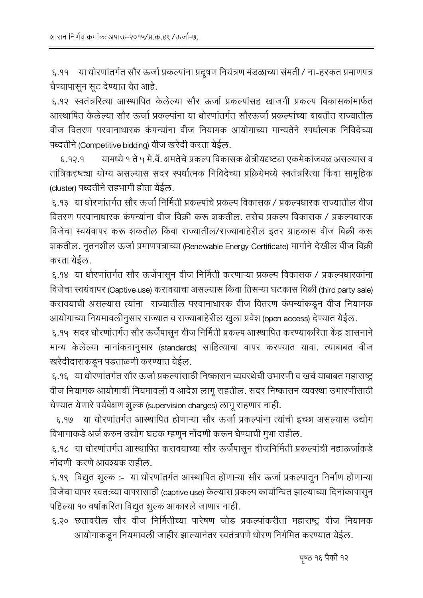या धोरणांतर्गत सौर ऊर्जा प्रकल्पांना प्रदूषण नियंत्रण मंडळाच्या संमती / ना-हरकत प्रमाणपत्र  $8.99$ घेण्यापासून सूट देण्यात येत आहे.

६.१२ स्वतंत्ररित्या आस्थापित केलेल्या सौर ऊर्जा प्रकल्पांसह खाजगी प्रकल्प विकासकांमार्फत आस्थापित केलेल्या सौर ऊर्जा प्रकल्पांना या धोरणांतर्गत सौरऊर्जा प्रकल्पांच्या बाबतीत राज्यातील वीज वितरण परवानाधारक कंपन्यांना वीज नियामक आयोगाच्या मान्यतेने स्पर्धात्मक निविदेच्या पध्दतीने (Competitive bidding) वीज खरेदी करता येईल.

यामध्ये १ ते ५ मे.वॅ. क्षमतेचे प्रकल्प विकासक क्षेत्रीयदृष्ट्या एकमेकांजवळ असल्यास व  $P.99.9$ तांत्रिकदृष्ट्या योग्य असल्यास सदर स्पर्धात्मक निविदेच्या प्रक्रियेमध्ये स्वतंत्ररित्या किंवा सामूहिक (cluster) पध्दतीने सहभागी होता येईल.

६.१३ ) या धोरणांतर्गत सौर ऊर्जा निर्मिती प्रकल्पांचे प्रकल्प विकासक / प्रकल्पधारक राज्यातील वीज वितरण परवानाधारक कंपन्यांना वीज विक्री करू शकतील. तसेच प्रकल्प विकासक / प्रकल्पधारक विजेचा स्वयंवापर करू शकतील किंवा राज्यातील/राज्याबाहेरील इतर ग्राहकास वीज विक्री करू शकतील. नूतनशील ऊर्जा प्रमाणपत्राच्या (Renewable Energy Certificate) मार्गाने देखील वीज विक्री करता येईल.

६.१४ या धोरणांतर्गत सौर ऊर्जेपासून वीज निर्मिती करणाऱ्या प्रकल्प विकासक / प्रकल्पधारकांना विजेचा स्वयंवापर (Captive use) करावयाचा असल्यास किंवा तिसऱ्या घटकास विक्री (third party sale) करावयाची असल्यास त्यांना राज्यातील परवानाधारक वीज वितरण कंपन्यांकडून वीज नियामक आयोगाच्या नियमावलीनुसार राज्यात व राज्याबाहेरील खुला प्रवेश (open access) देण्यात येईल.

६.१५ सदर धोरणांतर्गत सौर ऊर्जेपासून वीज निर्मिती प्रकल्प आस्थापित करण्याकरिता केंद्र शासनाने मान्य केलेल्या मानांकनानुसार (standards) साहित्याचा वापर करण्यात यावा. त्याबाबत वीज खरेदीदाराकडून पडताळणी करण्यात येईल.

६.१६ व्या धोरणांतर्गत सौर ऊर्जा प्रकल्पांसाठी निष्कासन व्यवस्थेची उभारणी व खर्च याबाबत महाराष्ट्र वीज नियामक आयोगाची नियमावली व आदेश लागू राहतील. सदर निष्कासन व्यवस्था उभारणीसाठी घेण्यात येणारे पर्यवेक्षण शुल्क (supervision charges) लागू राहणार नाही.

६.१७ या धोरणांतर्गत आस्थापित होणाऱ्या सौर ऊर्जा प्रकल्पांना त्यांची इच्छा असल्यास उद्योग विभागाकडे अर्ज करुन उद्योग घटक म्हणून नोंदणी करून घेण्याची मुभा राहील.

६.१८ या धोरणांतर्गत आस्थापित करावयाच्या सौर ऊर्जेपासून वीजनिर्मिती प्रकल्पांची महाऊर्जाकडे नोंदणी करणे आवश्यक राहील.

६.१९ विद्युत शुल्क :- या धोरणांतर्गत आस्थापित होणाऱ्या सौर ऊर्जा प्रकल्पातून निर्माण होणाऱ्या विजेचा वापर स्वत:च्या वापरासाठी (captive use) केल्यास प्रकल्प कार्यान्वित झाल्याच्या दिनांकापासून पहिल्या १० वर्षाकरिता विद्युत शुल्क आकारले जाणार नाही.

६.२० छतावरील सौर वीज निर्मितीच्या पारेषण जोड प्रकल्पांकरीता महाराष्ट्र वीज नियामक आयोगाकडून नियमावली जाहीर झाल्यानंतर स्वतंत्रपणे धोरण निर्गमित करण्यात येईल.